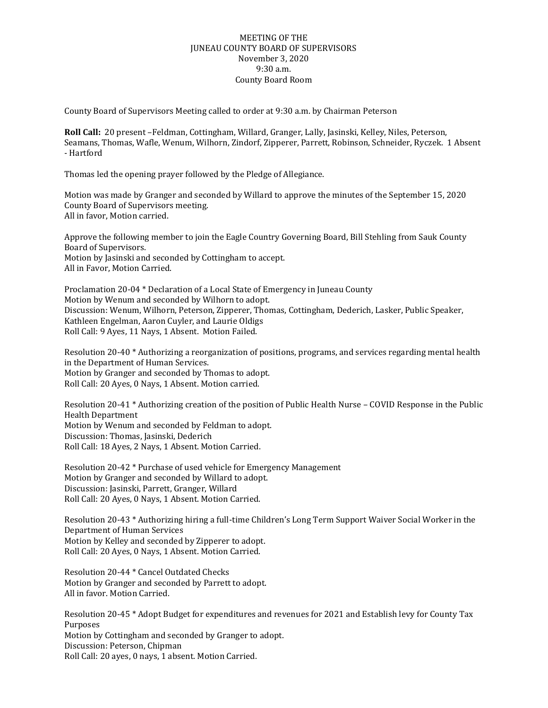## MEETING OF THE JUNEAU COUNTY BOARD OF SUPERVISORS November 3, 2020 9:30 a.m. County Board Room

County Board of Supervisors Meeting called to order at 9:30 a.m. by Chairman Peterson

**Roll Call:** 20 present –Feldman, Cottingham, Willard, Granger, Lally, Jasinski, Kelley, Niles, Peterson, Seamans, Thomas, Wafle, Wenum, Wilhorn, Zindorf, Zipperer, Parrett, Robinson, Schneider, Ryczek. 1 Absent - Hartford

Thomas led the opening prayer followed by the Pledge of Allegiance.

Motion was made by Granger and seconded by Willard to approve the minutes of the September 15, 2020 County Board of Supervisors meeting. All in favor, Motion carried.

Approve the following member to join the Eagle Country Governing Board, Bill Stehling from Sauk County Board of Supervisors. Motion by Jasinski and seconded by Cottingham to accept. All in Favor, Motion Carried.

Proclamation 20-04 \* Declaration of a Local State of Emergency in Juneau County Motion by Wenum and seconded by Wilhorn to adopt. Discussion: Wenum, Wilhorn, Peterson, Zipperer, Thomas, Cottingham, Dederich, Lasker, Public Speaker, Kathleen Engelman, Aaron Cuyler, and Laurie Oldigs Roll Call: 9 Ayes, 11 Nays, 1 Absent. Motion Failed.

Resolution 20-40 \* Authorizing a reorganization of positions, programs, and services regarding mental health in the Department of Human Services. Motion by Granger and seconded by Thomas to adopt.

Roll Call: 20 Ayes, 0 Nays, 1 Absent. Motion carried.

Resolution 20-41 \* Authorizing creation of the position of Public Health Nurse – COVID Response in the Public Health Department Motion by Wenum and seconded by Feldman to adopt. Discussion: Thomas, Jasinski, Dederich Roll Call: 18 Ayes, 2 Nays, 1 Absent. Motion Carried.

Resolution 20-42 \* Purchase of used vehicle for Emergency Management Motion by Granger and seconded by Willard to adopt. Discussion: Jasinski, Parrett, Granger, Willard Roll Call: 20 Ayes, 0 Nays, 1 Absent. Motion Carried.

Resolution 20-43 \* Authorizing hiring a full-time Children's Long Term Support Waiver Social Worker in the Department of Human Services Motion by Kelley and seconded by Zipperer to adopt. Roll Call: 20 Ayes, 0 Nays, 1 Absent. Motion Carried.

Resolution 20-44 \* Cancel Outdated Checks Motion by Granger and seconded by Parrett to adopt. All in favor. Motion Carried.

Resolution 20-45 \* Adopt Budget for expenditures and revenues for 2021 and Establish levy for County Tax Purposes Motion by Cottingham and seconded by Granger to adopt. Discussion: Peterson, Chipman Roll Call: 20 ayes, 0 nays, 1 absent. Motion Carried.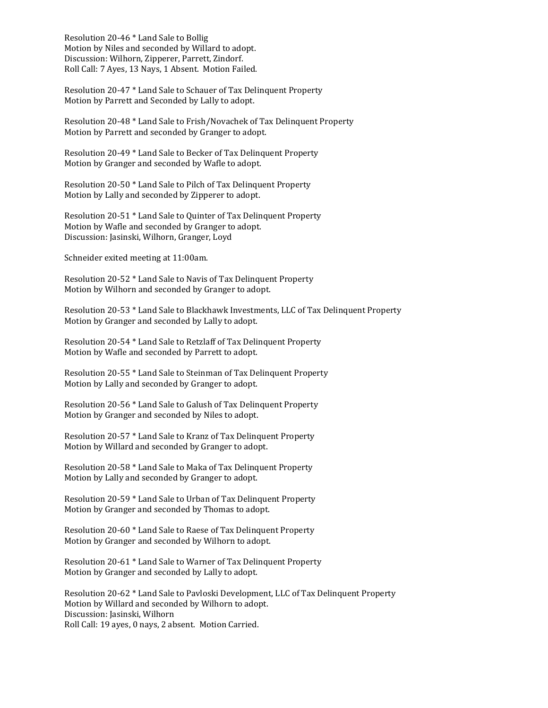Resolution 20-46 \* Land Sale to Bollig Motion by Niles and seconded by Willard to adopt. Discussion: Wilhorn, Zipperer, Parrett, Zindorf. Roll Call: 7 Ayes, 13 Nays, 1 Absent. Motion Failed.

Resolution 20-47 \* Land Sale to Schauer of Tax Delinquent Property Motion by Parrett and Seconded by Lally to adopt.

Resolution 20-48 \* Land Sale to Frish/Novachek of Tax Delinquent Property Motion by Parrett and seconded by Granger to adopt.

Resolution 20-49 \* Land Sale to Becker of Tax Delinquent Property Motion by Granger and seconded by Wafle to adopt.

Resolution 20-50 \* Land Sale to Pilch of Tax Delinquent Property Motion by Lally and seconded by Zipperer to adopt.

Resolution 20-51 \* Land Sale to Quinter of Tax Delinquent Property Motion by Wafle and seconded by Granger to adopt. Discussion: Jasinski, Wilhorn, Granger, Loyd

Schneider exited meeting at 11:00am.

Resolution 20-52 \* Land Sale to Navis of Tax Delinquent Property Motion by Wilhorn and seconded by Granger to adopt.

Resolution 20-53 \* Land Sale to Blackhawk Investments, LLC of Tax Delinquent Property Motion by Granger and seconded by Lally to adopt.

Resolution 20-54 \* Land Sale to Retzlaff of Tax Delinquent Property Motion by Wafle and seconded by Parrett to adopt.

Resolution 20-55 \* Land Sale to Steinman of Tax Delinquent Property Motion by Lally and seconded by Granger to adopt.

Resolution 20-56 \* Land Sale to Galush of Tax Delinquent Property Motion by Granger and seconded by Niles to adopt.

Resolution 20-57 \* Land Sale to Kranz of Tax Delinquent Property Motion by Willard and seconded by Granger to adopt.

Resolution 20-58 \* Land Sale to Maka of Tax Delinquent Property Motion by Lally and seconded by Granger to adopt.

Resolution 20-59 \* Land Sale to Urban of Tax Delinquent Property Motion by Granger and seconded by Thomas to adopt.

Resolution 20-60 \* Land Sale to Raese of Tax Delinquent Property Motion by Granger and seconded by Wilhorn to adopt.

Resolution 20-61 \* Land Sale to Warner of Tax Delinquent Property Motion by Granger and seconded by Lally to adopt.

Resolution 20-62 \* Land Sale to Pavloski Development, LLC of Tax Delinquent Property Motion by Willard and seconded by Wilhorn to adopt. Discussion: Jasinski, Wilhorn Roll Call: 19 ayes, 0 nays, 2 absent. Motion Carried.